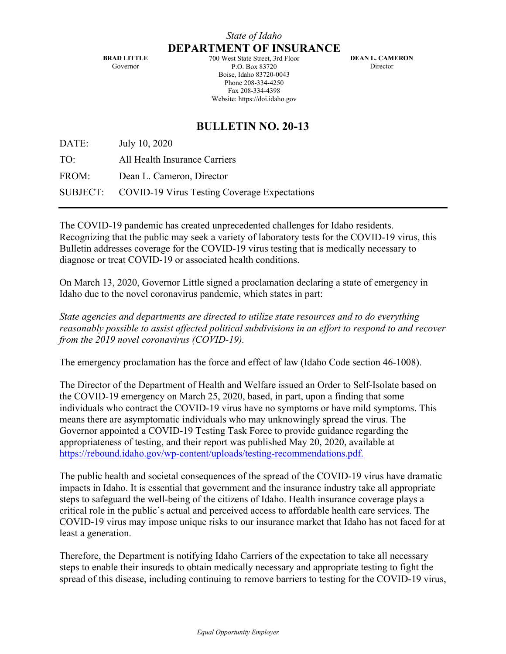**BRAD LITTLE** Governor

**DEPARTMENT OF INSURANCE** 700 West State Street, 3rd Floor P.O. Box 83720 Boise, Idaho 83720-0043 Phone 208-334-4250 Fax 208-334-4398 Website: https://doi.idaho.gov

**DEAN L. CAMERON Director** 

## **BULLETIN NO. 20-13**

DATE: July 10, 2020

TO: All Health Insurance Carriers

FROM: Dean L. Cameron, Director

SUBJECT: COVID-19 Virus Testing Coverage Expectations

The COVID-19 pandemic has created unprecedented challenges for Idaho residents. Recognizing that the public may seek a variety of laboratory tests for the COVID-19 virus, this Bulletin addresses coverage for the COVID-19 virus testing that is medically necessary to diagnose or treat COVID-19 or associated health conditions.

On March 13, 2020, Governor Little signed a proclamation declaring a state of emergency in Idaho due to the novel coronavirus pandemic, which states in part:

*State agencies and departments are directed to utilize state resources and to do everything reasonably possible to assist affected political subdivisions in an effort to respond to and recover from the 2019 novel coronavirus (COVID-19).*

The emergency proclamation has the force and effect of law (Idaho Code section 46-1008).

The Director of the Department of Health and Welfare issued an Order to Self-Isolate based on the COVID-19 emergency on March 25, 2020, based, in part, upon a finding that some individuals who contract the COVID-19 virus have no symptoms or have mild symptoms. This means there are asymptomatic individuals who may unknowingly spread the virus. The Governor appointed a COVID-19 Testing Task Force to provide guidance regarding the appropriateness of testing, and their report was published May 20, 2020, available at [https://rebound.idaho.gov/wp-content/uploads/testing-recommendations.pdf.](https://rebound.idaho.gov/wp-content/uploads/testing-recommendations.pdf)

The public health and societal consequences of the spread of the COVID-19 virus have dramatic impacts in Idaho. It is essential that government and the insurance industry take all appropriate steps to safeguard the well-being of the citizens of Idaho. Health insurance coverage plays a critical role in the public's actual and perceived access to affordable health care services. The COVID-19 virus may impose unique risks to our insurance market that Idaho has not faced for at least a generation.

Therefore, the Department is notifying Idaho Carriers of the expectation to take all necessary steps to enable their insureds to obtain medically necessary and appropriate testing to fight the spread of this disease, including continuing to remove barriers to testing for the COVID-19 virus,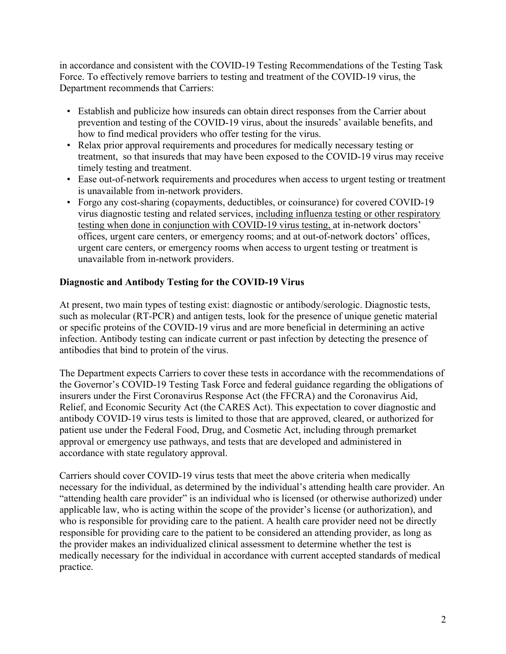in accordance and consistent with the COVID-19 Testing Recommendations of the Testing Task Force. To effectively remove barriers to testing and treatment of the COVID-19 virus, the Department recommends that Carriers:

- Establish and publicize how insureds can obtain direct responses from the Carrier about prevention and testing of the COVID-19 virus, about the insureds' available benefits, and how to find medical providers who offer testing for the virus.
- Relax prior approval requirements and procedures for medically necessary testing or treatment, so that insureds that may have been exposed to the COVID-19 virus may receive timely testing and treatment.
- Ease out-of-network requirements and procedures when access to urgent testing or treatment is unavailable from in-network providers.
- Forgo any cost-sharing (copayments, deductibles, or coinsurance) for covered COVID-19 virus diagnostic testing and related services, including influenza testing or other respiratory testing when done in conjunction with COVID-19 virus testing, at in-network doctors' offices, urgent care centers, or emergency rooms; and at out-of-network doctors' offices, urgent care centers, or emergency rooms when access to urgent testing or treatment is unavailable from in-network providers.

## **Diagnostic and Antibody Testing for the COVID-19 Virus**

At present, two main types of testing exist: diagnostic or antibody/serologic. Diagnostic tests, such as molecular (RT-PCR) and antigen tests, look for the presence of unique genetic material or specific proteins of the COVID-19 virus and are more beneficial in determining an active infection. Antibody testing can indicate current or past infection by detecting the presence of antibodies that bind to protein of the virus.

The Department expects Carriers to cover these tests in accordance with the recommendations of the Governor's COVID-19 Testing Task Force and federal guidance regarding the obligations of insurers under the First Coronavirus Response Act (the FFCRA) and the Coronavirus Aid, Relief, and Economic Security Act (the CARES Act). This expectation to cover diagnostic and antibody COVID-19 virus tests is limited to those that are approved, cleared, or authorized for patient use under the Federal Food, Drug, and Cosmetic Act, including through premarket approval or emergency use pathways, and tests that are developed and administered in accordance with state regulatory approval.

Carriers should cover COVID-19 virus tests that meet the above criteria when medically necessary for the individual, as determined by the individual's attending health care provider. An "attending health care provider" is an individual who is licensed (or otherwise authorized) under applicable law, who is acting within the scope of the provider's license (or authorization), and who is responsible for providing care to the patient. A health care provider need not be directly responsible for providing care to the patient to be considered an attending provider, as long as the provider makes an individualized clinical assessment to determine whether the test is medically necessary for the individual in accordance with current accepted standards of medical practice.